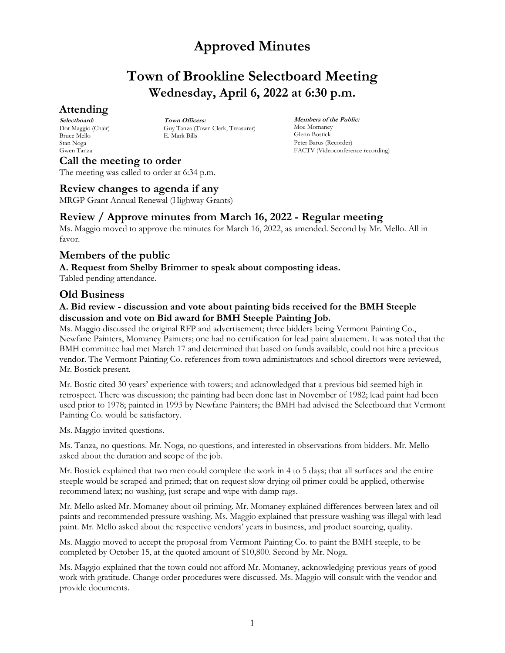# **Town of Brookline Selectboard Meeting Wednesday, April 6, 2022 at 6:30 p.m.**

## **Attending**

**Selectboard:** Dot Maggio (Chair) Bruce Mello Stan Noga Gwen Tanza

**Town Officers:** Guy Tanza (Town Clerk, Treasurer) E. Mark Bills

**Members of the Public:** Moe Momaney Glenn Bostick Peter Barus (Recorder) FACTV (Videoconference recording)

**Call the meeting to order** The meeting was called to order at 6:34 p.m.

## **Review changes to agenda if any**

MRGP Grant Annual Renewal (Highway Grants)

## **Review / Approve minutes from March 16, 2022 - Regular meeting**

Ms. Maggio moved to approve the minutes for March 16, 2022, as amended. Second by Mr. Mello. All in favor.

## **Members of the public**

### **A. Request from Shelby Brimmer to speak about composting ideas.**

Tabled pending attendance.

## **Old Business**

### **A. Bid review - discussion and vote about painting bids received for the BMH Steeple discussion and vote on Bid award for BMH Steeple Painting Job.**

Ms. Maggio discussed the original RFP and advertisement; three bidders being Vermont Painting Co., Newfane Painters, Momaney Painters; one had no certification for lead paint abatement. It was noted that the BMH committee had met March 17 and determined that based on funds available, could not hire a previous vendor. The Vermont Painting Co. references from town administrators and school directors were reviewed, Mr. Bostick present.

Mr. Bostic cited 30 years' experience with towers; and acknowledged that a previous bid seemed high in retrospect. There was discussion; the painting had been done last in November of 1982; lead paint had been used prior to 1978; painted in 1993 by Newfane Painters; the BMH had advised the Selectboard that Vermont Painting Co. would be satisfactory.

Ms. Maggio invited questions.

Ms. Tanza, no questions. Mr. Noga, no questions, and interested in observations from bidders. Mr. Mello asked about the duration and scope of the job.

Mr. Bostick explained that two men could complete the work in 4 to 5 days; that all surfaces and the entire steeple would be scraped and primed; that on request slow drying oil primer could be applied, otherwise recommend latex; no washing, just scrape and wipe with damp rags.

Mr. Mello asked Mr. Momaney about oil priming. Mr. Momaney explained differences between latex and oil paints and recommended pressure washing. Ms. Maggio explained that pressure washing was illegal with lead paint. Mr. Mello asked about the respective vendors' years in business, and product sourcing, quality.

Ms. Maggio moved to accept the proposal from Vermont Painting Co. to paint the BMH steeple, to be completed by October 15, at the quoted amount of \$10,800. Second by Mr. Noga.

Ms. Maggio explained that the town could not afford Mr. Momaney, acknowledging previous years of good work with gratitude. Change order procedures were discussed. Ms. Maggio will consult with the vendor and provide documents.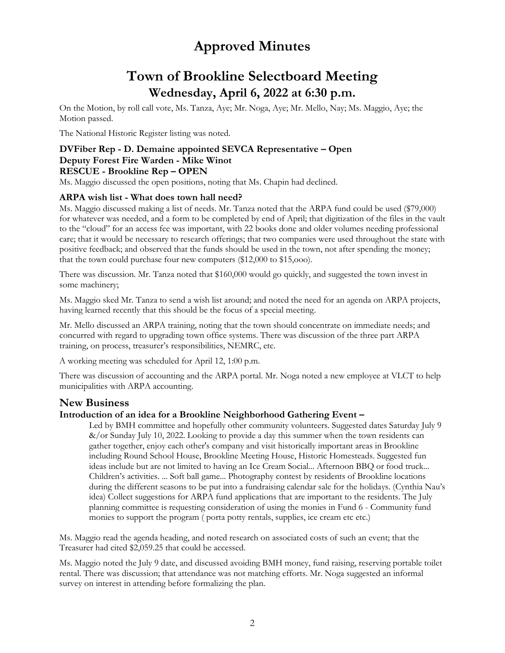# **Town of Brookline Selectboard Meeting Wednesday, April 6, 2022 at 6:30 p.m.**

On the Motion, by roll call vote, Ms. Tanza, Aye; Mr. Noga, Aye; Mr. Mello, Nay; Ms. Maggio, Aye; the Motion passed.

The National Historic Register listing was noted.

### **DVFiber Rep - D. Demaine appointed SEVCA Representative – Open Deputy Forest Fire Warden - Mike Winot RESCUE - Brookline Rep – OPEN**

Ms. Maggio discussed the open positions, noting that Ms. Chapin had declined.

#### **ARPA wish list - What does town hall need?**

Ms. Maggio discussed making a list of needs. Mr. Tanza noted that the ARPA fund could be used (\$79,000) for whatever was needed, and a form to be completed by end of April; that digitization of the files in the vault to the "cloud" for an access fee was important, with 22 books done and older volumes needing professional care; that it would be necessary to research offerings; that two companies were used throughout the state with positive feedback; and observed that the funds should be used in the town, not after spending the money; that the town could purchase four new computers (\$12,000 to \$15,ooo).

There was discussion. Mr. Tanza noted that \$160,000 would go quickly, and suggested the town invest in some machinery;

Ms. Maggio sked Mr. Tanza to send a wish list around; and noted the need for an agenda on ARPA projects, having learned recently that this should be the focus of a special meeting.

Mr. Mello discussed an ARPA training, noting that the town should concentrate on immediate needs; and concurred with regard to upgrading town office systems. There was discussion of the three part ARPA training, on process, treasurer's responsibilities, NEMRC, etc.

A working meeting was scheduled for April 12, 1:00 p.m.

There was discussion of accounting and the ARPA portal. Mr. Noga noted a new employee at VLCT to help municipalities with ARPA accounting.

## **New Business**

#### **Introduction of an idea for a Brookline Neighborhood Gathering Event –**

Led by BMH committee and hopefully other community volunteers. Suggested dates Saturday July 9 &/or Sunday July 10, 2022. Looking to provide a day this summer when the town residents can gather together, enjoy each other's company and visit historically important areas in Brookline including Round School House, Brookline Meeting House, Historic Homesteads. Suggested fun ideas include but are not limited to having an Ice Cream Social... Afternoon BBQ or food truck... Children's activities. ... Soft ball game... Photography contest by residents of Brookline locations during the different seasons to be put into a fundraising calendar sale for the holidays. (Cynthia Nau's idea) Collect suggestions for ARPA fund applications that are important to the residents. The July planning committee is requesting consideration of using the monies in Fund 6 - Community fund monies to support the program ( porta potty rentals, supplies, ice cream etc etc.)

Ms. Maggio read the agenda heading, and noted research on associated costs of such an event; that the Treasurer had cited \$2,059.25 that could be accessed.

Ms. Maggio noted the July 9 date, and discussed avoiding BMH money, fund raising, reserving portable toilet rental. There was discussion; that attendance was not matching efforts. Mr. Noga suggested an informal survey on interest in attending before formalizing the plan.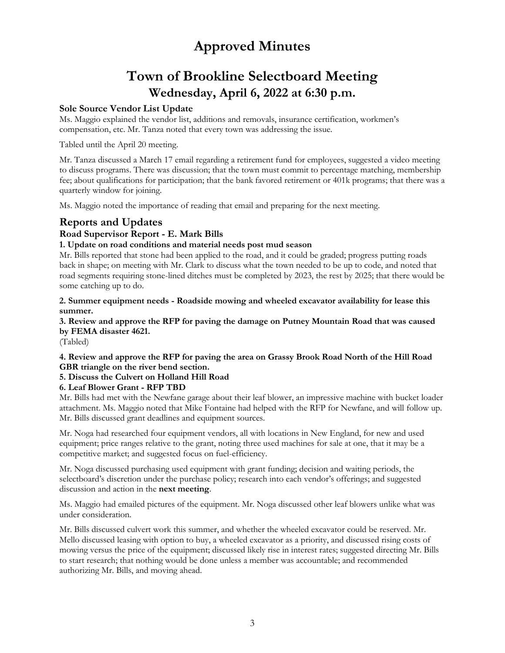# **Town of Brookline Selectboard Meeting Wednesday, April 6, 2022 at 6:30 p.m.**

### **Sole Source Vendor List Update**

Ms. Maggio explained the vendor list, additions and removals, insurance certification, workmen's compensation, etc. Mr. Tanza noted that every town was addressing the issue.

Tabled until the April 20 meeting.

Mr. Tanza discussed a March 17 email regarding a retirement fund for employees, suggested a video meeting to discuss programs. There was discussion; that the town must commit to percentage matching, membership fee; about qualifications for participation; that the bank favored retirement or 401k programs; that there was a quarterly window for joining.

Ms. Maggio noted the importance of reading that email and preparing for the next meeting.

## **Reports and Updates**

## **Road Supervisor Report - E. Mark Bills**

### **1. Update on road conditions and material needs post mud season**

Mr. Bills reported that stone had been applied to the road, and it could be graded; progress putting roads back in shape; on meeting with Mr. Clark to discuss what the town needed to be up to code, and noted that road segments requiring stone-lined ditches must be completed by 2023, the rest by 2025; that there would be some catching up to do.

**2. Summer equipment needs - Roadside mowing and wheeled excavator availability for lease this summer.**

**3. Review and approve the RFP for paving the damage on Putney Mountain Road that was caused by FEMA disaster 4621.**

(Tabled)

**4. Review and approve the RFP for paving the area on Grassy Brook Road North of the Hill Road GBR triangle on the river bend section.**

### **5. Discuss the Culvert on Holland Hill Road**

### **6. Leaf Blower Grant - RFP TBD**

Mr. Bills had met with the Newfane garage about their leaf blower, an impressive machine with bucket loader attachment. Ms. Maggio noted that Mike Fontaine had helped with the RFP for Newfane, and will follow up. Mr. Bills discussed grant deadlines and equipment sources.

Mr. Noga had researched four equipment vendors, all with locations in New England, for new and used equipment; price ranges relative to the grant, noting three used machines for sale at one, that it may be a competitive market; and suggested focus on fuel-efficiency.

Mr. Noga discussed purchasing used equipment with grant funding; decision and waiting periods, the selectboard's discretion under the purchase policy; research into each vendor's offerings; and suggested discussion and action in the **next meeting**.

Ms. Maggio had emailed pictures of the equipment. Mr. Noga discussed other leaf blowers unlike what was under consideration.

Mr. Bills discussed culvert work this summer, and whether the wheeled excavator could be reserved. Mr. Mello discussed leasing with option to buy, a wheeled excavator as a priority, and discussed rising costs of mowing versus the price of the equipment; discussed likely rise in interest rates; suggested directing Mr. Bills to start research; that nothing would be done unless a member was accountable; and recommended authorizing Mr. Bills, and moving ahead.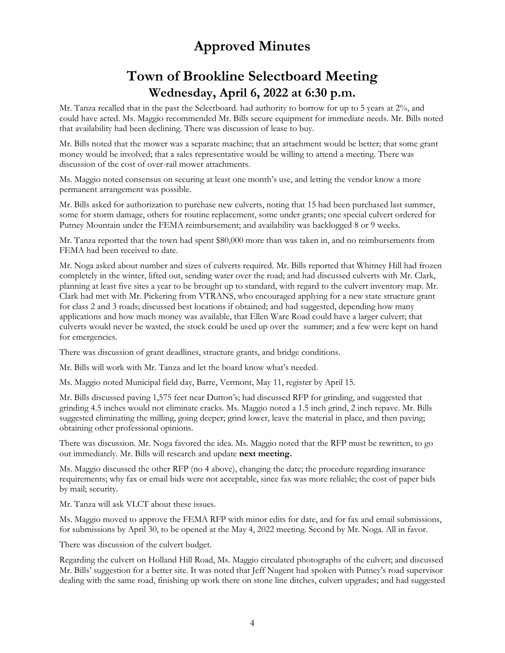# **Town of Brookline Selectboard Meeting Wednesday, April 6, 2022 at 6:30 p.m.**

Mr. Tanza recalled that in the past the Selectboard. had authority to borrow for up to 5 years at 2%, and could have acted. Ms. Maggio recommended Mr. Bills secure equipment for immediate needs. Mr. Bills noted that availability had been declining. There was discussion of lease to buy.

Mr. Bills noted that the mower was a separate machine; that an attachment would be better; that some grant money would be involved; that a sales representative would be willing to attend a meeting. There was discussion of the cost of over-rail mower attachments.

Ms. Maggio noted consensus on securing at least one month's use, and letting the vendor know a more permanent arrangement was possible.

Mr. Bills asked for authorization to purchase new culverts, noting that 15 had been purchased last summer, some for storm damage, others for routine replacement, some under grants; one special culvert ordered for Putney Mountain under the FEMA reimbursement; and availability was backlogged 8 or 9 weeks.

Mr. Tanza reported that the town had spent \$80,000 more than was taken in, and no reimbursements from FEMA had been received to date.

Mr. Noga asked about number and sizes of culverts required. Mr. Bills reported that Whitney Hill had frozen completely in the winter, lifted out, sending water over the road; and had discussed culverts with Mr. Clark, planning at least five sites a year to be brought up to standard, with regard to the culvert inventory map. Mr. Clark had met with Mr. Pickering from VTRANS, who encouraged applying for a new state structure grant for class 2 and 3 roads; discussed best locations if obtained; and had suggested, depending how many applications and how much money was available, that Ellen Ware Road could have a larger culvert; that culverts would never be wasted, the stock could be used up over the summer; and a few were kept on hand for emergencies.

There was discussion of grant deadlines, structure grants, and bridge conditions.

Mr. Bills will work with Mr. Tanza and let the board know what's needed.

Ms. Maggio noted Municipal field day, Barre, Vermont, May 11, register by April 15.

Mr. Bills discussed paving 1,575 feet near Dutton's; had discussed RFP for grinding, and suggested that grinding 4.5 inches would not eliminate cracks. Ms. Maggio noted a 1.5 inch grind, 2 inch repave. Mr. Bills suggested eliminating the milling, going deeper; grind lower, leave the material in place, and then paving; obtaining other professional opinions.

There was discussion. Mr. Noga favored the idea. Ms. Maggio noted that the RFP must be rewritten, to go out immediately. Mr. Bills will research and update **next meeting.**

Ms. Maggio discussed the other RFP (no 4 above), changing the date; the procedure regarding insurance requirements; why fax or email bids were not acceptable, since fax was more reliable; the cost of paper bids by mail; security.

Mr. Tanza will ask VLCT about these issues.

Ms. Maggio moved to approve the FEMA RFP with minor edits for date, and for fax and email submissions, for submissions by April 30, to be opened at the May 4, 2022 meeting. Second by Mr. Noga. All in favor.

There was discussion of the culvert budget.

Regarding the culvert on Holland Hill Road, Ms. Maggio circulated photographs of the culvert; and discussed Mr. Bills' suggestion for a better site. It was noted that Jeff Nugent had spoken with Putney's road supervisor dealing with the same road, finishing up work there on stone line ditches, culvert upgrades; and had suggested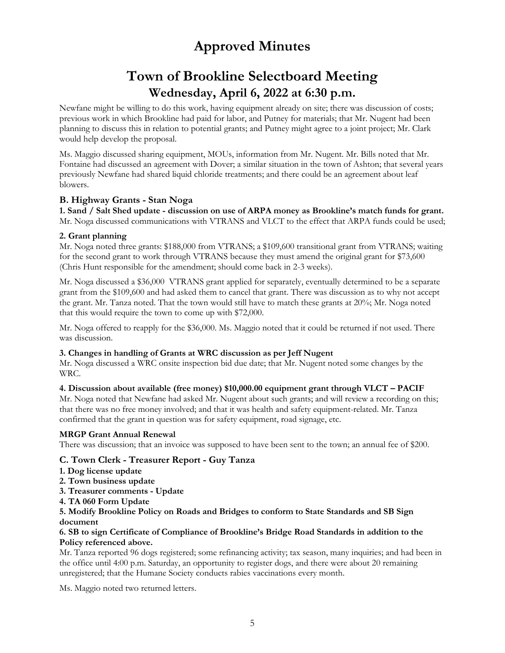# **Town of Brookline Selectboard Meeting Wednesday, April 6, 2022 at 6:30 p.m.**

Newfane might be willing to do this work, having equipment already on site; there was discussion of costs; previous work in which Brookline had paid for labor, and Putney for materials; that Mr. Nugent had been planning to discuss this in relation to potential grants; and Putney might agree to a joint project; Mr. Clark would help develop the proposal.

Ms. Maggio discussed sharing equipment, MOUs, information from Mr. Nugent. Mr. Bills noted that Mr. Fontaine had discussed an agreement with Dover; a similar situation in the town of Ashton; that several years previously Newfane had shared liquid chloride treatments; and there could be an agreement about leaf blowers.

#### **B. Highway Grants - Stan Noga**

**1. Sand / Salt Shed update - discussion on use of ARPA money as Brookline's match funds for grant.** Mr. Noga discussed communications with VTRANS and VLCT to the effect that ARPA funds could be used;

#### **2. Grant planning**

Mr. Noga noted three grants: \$188,000 from VTRANS; a \$109,600 transitional grant from VTRANS; waiting for the second grant to work through VTRANS because they must amend the original grant for \$73,600 (Chris Hunt responsible for the amendment; should come back in 2-3 weeks).

Mr. Noga discussed a \$36,000 VTRANS grant applied for separately, eventually determined to be a separate grant from the \$109,600 and had asked them to cancel that grant. There was discussion as to why not accept the grant. Mr. Tanza noted. That the town would still have to match these grants at 20%; Mr. Noga noted that this would require the town to come up with \$72,000.

Mr. Noga offered to reapply for the \$36,000. Ms. Maggio noted that it could be returned if not used. There was discussion.

#### **3. Changes in handling of Grants at WRC discussion as per Jeff Nugent**

Mr. Noga discussed a WRC onsite inspection bid due date; that Mr. Nugent noted some changes by the WRC.

#### **4. Discussion about available (free money) \$10,000.00 equipment grant through VLCT – PACIF**

Mr. Noga noted that Newfane had asked Mr. Nugent about such grants; and will review a recording on this; that there was no free money involved; and that it was health and safety equipment-related. Mr. Tanza confirmed that the grant in question was for safety equipment, road signage, etc.

#### **MRGP Grant Annual Renewal**

There was discussion; that an invoice was supposed to have been sent to the town; an annual fee of \$200.

#### **C. Town Clerk - Treasurer Report - Guy Tanza**

- **1. Dog license update**
- **2. Town business update**
- **3. Treasurer comments - Update**
- **4. TA 060 Form Update**

#### **5. Modify Brookline Policy on Roads and Bridges to conform to State Standards and SB Sign document**

#### **6. SB to sign Certificate of Compliance of Brookline's Bridge Road Standards in addition to the Policy referenced above.**

Mr. Tanza reported 96 dogs registered; some refinancing activity; tax season, many inquiries; and had been in the office until 4:00 p.m. Saturday, an opportunity to register dogs, and there were about 20 remaining unregistered; that the Humane Society conducts rabies vaccinations every month.

Ms. Maggio noted two returned letters.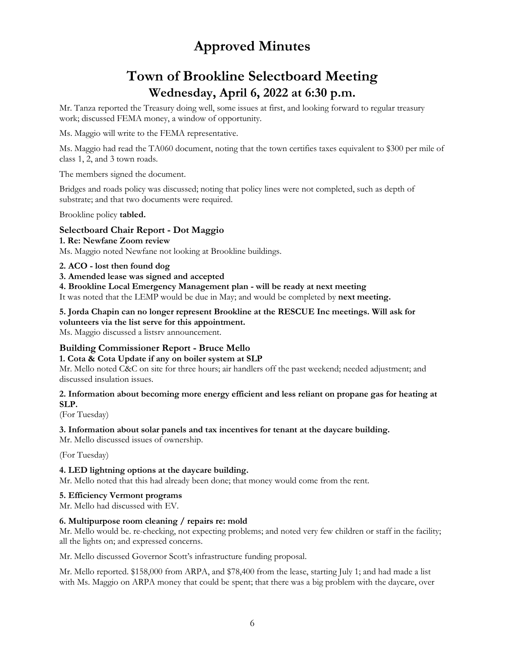# **Town of Brookline Selectboard Meeting Wednesday, April 6, 2022 at 6:30 p.m.**

Mr. Tanza reported the Treasury doing well, some issues at first, and looking forward to regular treasury work; discussed FEMA money, a window of opportunity.

Ms. Maggio will write to the FEMA representative.

Ms. Maggio had read the TA060 document, noting that the town certifies taxes equivalent to \$300 per mile of class 1, 2, and 3 town roads.

The members signed the document.

Bridges and roads policy was discussed; noting that policy lines were not completed, such as depth of substrate; and that two documents were required.

Brookline policy **tabled.**

#### **Selectboard Chair Report - Dot Maggio**

**1. Re: Newfane Zoom review** Ms. Maggio noted Newfane not looking at Brookline buildings.

#### **2. ACO - lost then found dog**

#### **3. Amended lease was signed and accepted**

**4. Brookline Local Emergency Management plan - will be ready at next meeting**

It was noted that the LEMP would be due in May; and would be completed by **next meeting.**

**5. Jorda Chapin can no longer represent Brookline at the RESCUE Inc meetings. Will ask for volunteers via the list serve for this appointment.** Ms. Maggio discussed a listsrv announcement.

### **Building Commissioner Report - Bruce Mello**

#### **1. Cota & Cota Update if any on boiler system at SLP**

Mr. Mello noted C&C on site for three hours; air handlers off the past weekend; needed adjustment; and discussed insulation issues.

#### **2. Information about becoming more energy efficient and less reliant on propane gas for heating at SLP.**

(For Tuesday)

#### **3. Information about solar panels and tax incentives for tenant at the daycare building.**

Mr. Mello discussed issues of ownership.

(For Tuesday)

#### **4. LED lightning options at the daycare building.**

Mr. Mello noted that this had already been done; that money would come from the rent.

#### **5. Efficiency Vermont programs**

Mr. Mello had discussed with EV.

#### **6. Multipurpose room cleaning / repairs re: mold**

Mr. Mello would be. re-checking, not expecting problems; and noted very few children or staff in the facility; all the lights on; and expressed concerns.

Mr. Mello discussed Governor Scott's infrastructure funding proposal.

Mr. Mello reported. \$158,000 from ARPA, and \$78,400 from the lease, starting July 1; and had made a list with Ms. Maggio on ARPA money that could be spent; that there was a big problem with the daycare, over